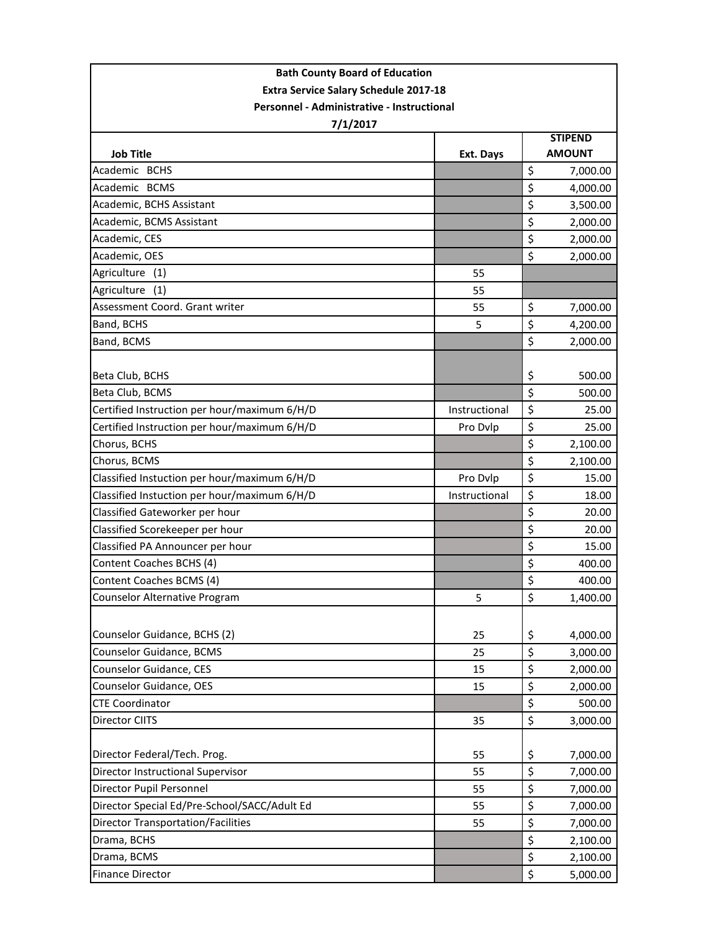| <b>Bath County Board of Education</b>        |               |                                 |          |  |  |
|----------------------------------------------|---------------|---------------------------------|----------|--|--|
| <b>Extra Service Salary Schedule 2017-18</b> |               |                                 |          |  |  |
| Personnel - Administrative - Instructional   |               |                                 |          |  |  |
| 7/1/2017                                     |               |                                 |          |  |  |
| <b>Job Title</b>                             | Ext. Days     | <b>STIPEND</b><br><b>AMOUNT</b> |          |  |  |
| Academic BCHS                                |               | \$                              | 7,000.00 |  |  |
| Academic BCMS                                |               | \$                              | 4,000.00 |  |  |
| Academic, BCHS Assistant                     |               | \$                              | 3,500.00 |  |  |
| Academic, BCMS Assistant                     |               | \$                              | 2,000.00 |  |  |
| Academic, CES                                |               | \$                              | 2,000.00 |  |  |
| Academic, OES                                |               | \$                              | 2,000.00 |  |  |
| Agriculture (1)                              | 55            |                                 |          |  |  |
| Agriculture<br>(1)                           | 55            |                                 |          |  |  |
| Assessment Coord. Grant writer               | 55            | \$                              | 7,000.00 |  |  |
| Band, BCHS                                   | 5             | \$                              | 4,200.00 |  |  |
| Band, BCMS                                   |               | $\zeta$                         | 2,000.00 |  |  |
|                                              |               |                                 |          |  |  |
| Beta Club, BCHS                              |               | \$                              | 500.00   |  |  |
| Beta Club, BCMS                              |               | \$                              | 500.00   |  |  |
| Certified Instruction per hour/maximum 6/H/D | Instructional | \$                              | 25.00    |  |  |
| Certified Instruction per hour/maximum 6/H/D | Pro Dvlp      | \$                              | 25.00    |  |  |
| Chorus, BCHS                                 |               | \$                              | 2,100.00 |  |  |
| Chorus, BCMS                                 |               | \$                              | 2,100.00 |  |  |
| Classified Instuction per hour/maximum 6/H/D | Pro Dvlp      | \$                              | 15.00    |  |  |
| Classified Instuction per hour/maximum 6/H/D | Instructional | \$                              | 18.00    |  |  |
| Classified Gateworker per hour               |               | \$                              | 20.00    |  |  |
| Classified Scorekeeper per hour              |               | \$                              | 20.00    |  |  |
| Classified PA Announcer per hour             |               | \$                              | 15.00    |  |  |
| Content Coaches BCHS (4)                     |               | \$                              | 400.00   |  |  |
| Content Coaches BCMS (4)                     |               | \$                              | 400.00   |  |  |
| Counselor Alternative Program                | 5             | \$                              | 1,400.00 |  |  |
| Counselor Guidance, BCHS (2)                 | 25            | \$                              | 4,000.00 |  |  |
| Counselor Guidance, BCMS                     | 25            | $\zeta$                         | 3,000.00 |  |  |
| Counselor Guidance, CES                      | 15            | \$                              | 2,000.00 |  |  |
| Counselor Guidance, OES                      | 15            | \$                              | 2,000.00 |  |  |
| <b>CTE Coordinator</b>                       |               | \$                              | 500.00   |  |  |
| Director CIITS                               | 35            | \$                              | 3,000.00 |  |  |
|                                              |               |                                 |          |  |  |
| Director Federal/Tech. Prog.                 | 55            | \$                              | 7,000.00 |  |  |
| Director Instructional Supervisor            | 55            | \$                              | 7,000.00 |  |  |
| Director Pupil Personnel                     | 55            | \$                              | 7,000.00 |  |  |
| Director Special Ed/Pre-School/SACC/Adult Ed | 55            | \$                              | 7,000.00 |  |  |
| <b>Director Transportation/Facilities</b>    | 55            | \$                              | 7,000.00 |  |  |
| Drama, BCHS                                  |               | \$                              | 2,100.00 |  |  |
| Drama, BCMS                                  |               | \$                              | 2,100.00 |  |  |
| <b>Finance Director</b>                      |               | \$                              | 5,000.00 |  |  |